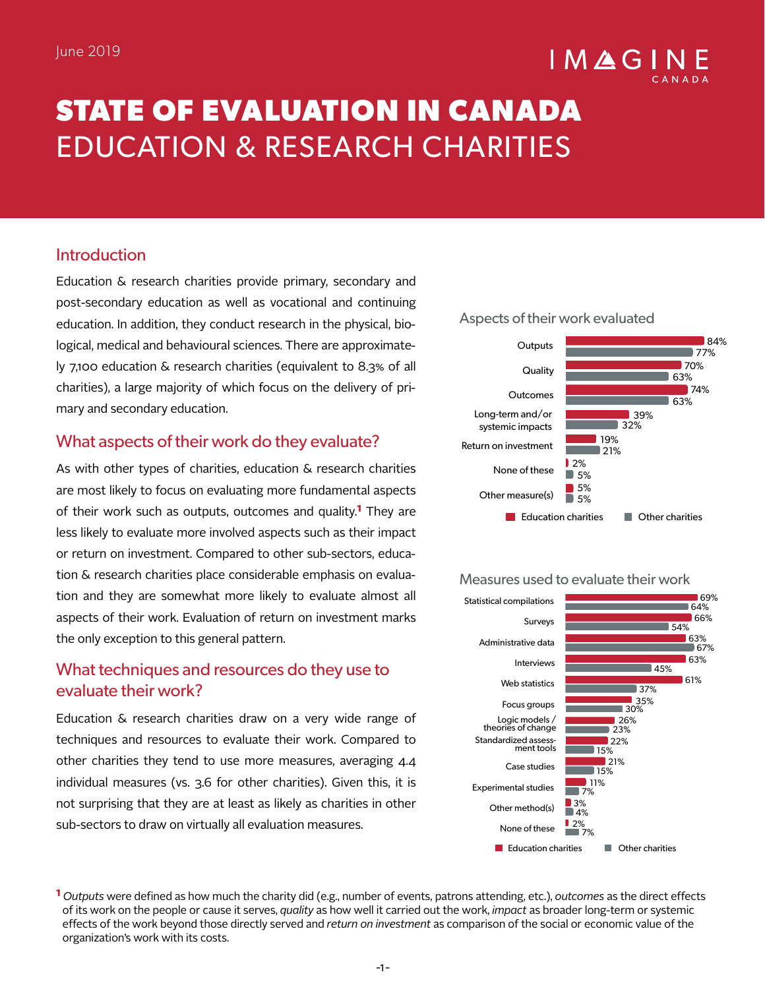# $IMAGI$

# **STATE OF EVALUATION IN CANADA**  EDUCATION & RESEARCH CHARITIES

# Introduction

Education & research charities provide primary, secondary and post-secondary education as well as vocational and continuing education. In addition, they conduct research in the physical, biological, medical and behavioural sciences. There are approximately 7,100 education & research charities (equivalent to 8.3% of all charities), a large majority of which focus on the delivery of primary and secondary education.

## What aspects of their work do they evaluate?

As with other types of charities, education & research charities are most likely to focus on evaluating more fundamental aspects of their work such as outputs, outcomes and quality.**1** They are less likely to evaluate more involved aspects such as their impact or return on investment. Compared to other sub-sectors, education & research charities place considerable emphasis on evaluation and they are somewhat more likely to evaluate almost all aspects of their work. Evaluation of return on investment marks the only exception to this general pattern.

# What techniques and resources do they use to evaluate their work?

Education & research charities draw on a very wide range of techniques and resources to evaluate their work. Compared to other charities they tend to use more measures, averaging 4.4 individual measures (vs. 3.6 for other charities). Given this, it is not surprising that they are at least as likely as charities in other sub-sectors to draw on virtually all evaluation measures.



#### Measures used to evaluate their work



**1** *Outputs* were defined as how much the charity did (e.g., number of events, patrons attending, etc.), *outcomes* as the direct effects of its work on the people or cause it serves, *quality* as how well it carried out the work, *impact* as broader long-term or systemic effects of the work beyond those directly served and *return on investment* as comparison of the social or economic value of the organization's work with its costs.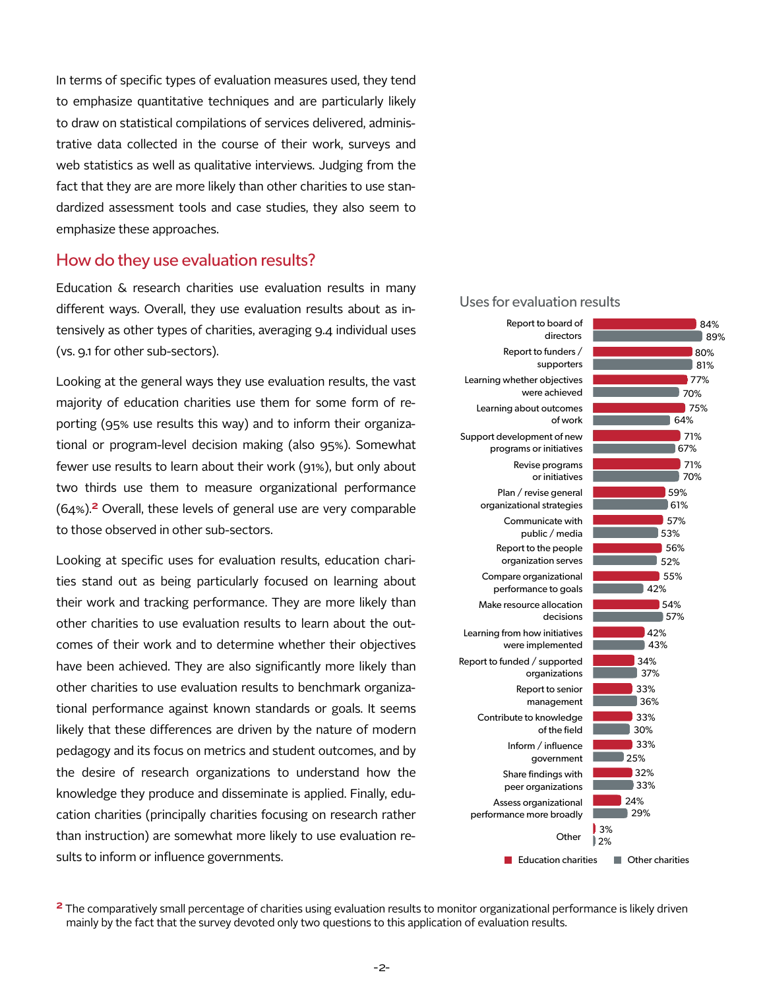In terms of specific types of evaluation measures used, they tend to emphasize quantitative techniques and are particularly likely to draw on statistical compilations of services delivered, administrative data collected in the course of their work, surveys and web statistics as well as qualitative interviews. Judging from the fact that they are are more likely than other charities to use standardized assessment tools and case studies, they also seem to emphasize these approaches.

#### How do they use evaluation results?

Education & research charities use evaluation results in many different ways. Overall, they use evaluation results about as intensively as other types of charities, averaging 9.4 individual uses (vs. 9.1 for other sub-sectors).

Looking at the general ways they use evaluation results, the vast majority of education charities use them for some form of reporting (95% use results this way) and to inform their organizational or program-level decision making (also 95%). Somewhat fewer use results to learn about their work (91%), but only about two thirds use them to measure organizational performance (64%).**2** Overall, these levels of general use are very comparable to those observed in other sub-sectors.

Looking at specific uses for evaluation results, education charities stand out as being particularly focused on learning about their work and tracking performance. They are more likely than other charities to use evaluation results to learn about the outcomes of their work and to determine whether their objectives have been achieved. They are also significantly more likely than other charities to use evaluation results to benchmark organizational performance against known standards or goals. It seems likely that these differences are driven by the nature of modern pedagogy and its focus on metrics and student outcomes, and by the desire of research organizations to understand how the knowledge they produce and disseminate is applied. Finally, education charities (principally charities focusing on research rather than instruction) are somewhat more likely to use evaluation results to inform or influence governments.

#### Uses for evaluation results



**<sup>2</sup>** The comparatively small percentage of charities using evaluation results to monitor organizational performance is likely driven mainly by the fact that the survey devoted only two questions to this application of evaluation results.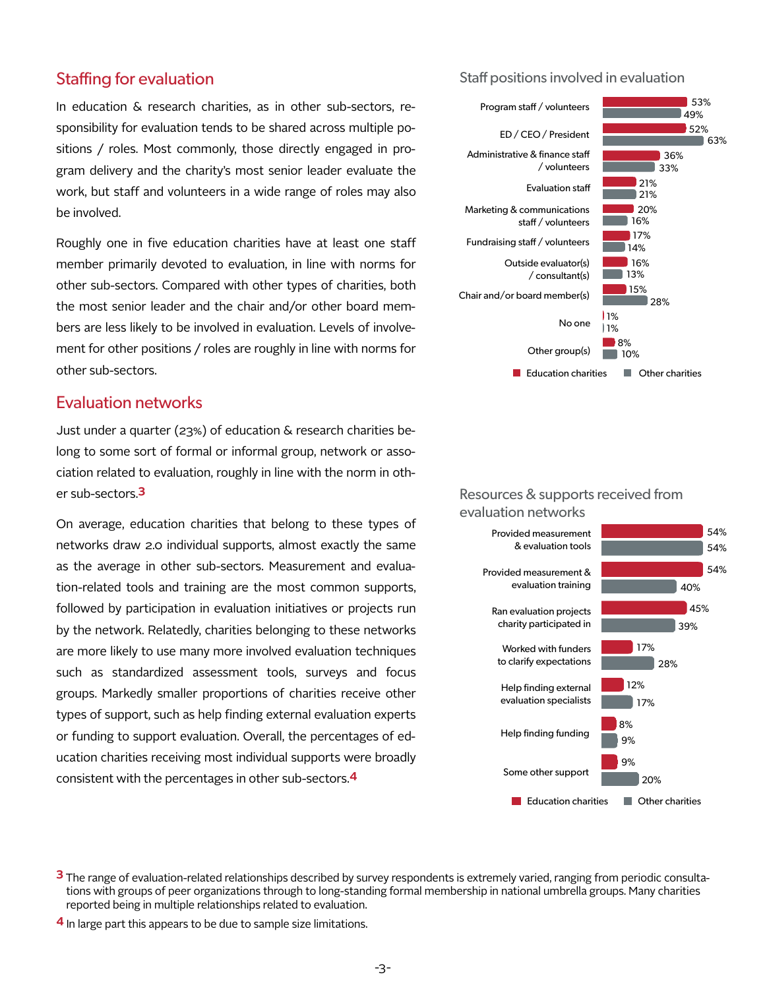#### Staffing for evaluation

In education & research charities, as in other sub-sectors, responsibility for evaluation tends to be shared across multiple positions / roles. Most commonly, those directly engaged in program delivery and the charity's most senior leader evaluate the work, but staff and volunteers in a wide range of roles may also be involved.

Roughly one in five education charities have at least one staff member primarily devoted to evaluation, in line with norms for other sub-sectors. Compared with other types of charities, both the most senior leader and the chair and/or other board members are less likely to be involved in evaluation. Levels of involvement for other positions / roles are roughly in line with norms for other sub-sectors.

#### Evaluation networks

Just under a quarter (23%) of education & research charities belong to some sort of formal or informal group, network or association related to evaluation, roughly in line with the norm in other sub-sectors.**3**

On average, education charities that belong to these types of networks draw 2.0 individual supports, almost exactly the same as the average in other sub-sectors. Measurement and evaluation-related tools and training are the most common supports, followed by participation in evaluation initiatives or projects run by the network. Relatedly, charities belonging to these networks are more likely to use many more involved evaluation techniques such as standardized assessment tools, surveys and focus groups. Markedly smaller proportions of charities receive other types of support, such as help finding external evaluation experts or funding to support evaluation. Overall, the percentages of education charities receiving most individual supports were broadly consistent with the percentages in other sub-sectors.**4**

#### Staff positions involved in evaluation



#### Resources & supports received from evaluation networks



**3** The range of evaluation-related relationships described by survey respondents is extremely varied, ranging from periodic consultations with groups of peer organizations through to long-standing formal membership in national umbrella groups. Many charities reported being in multiple relationships related to evaluation.

**4** In large part this appears to be due to sample size limitations.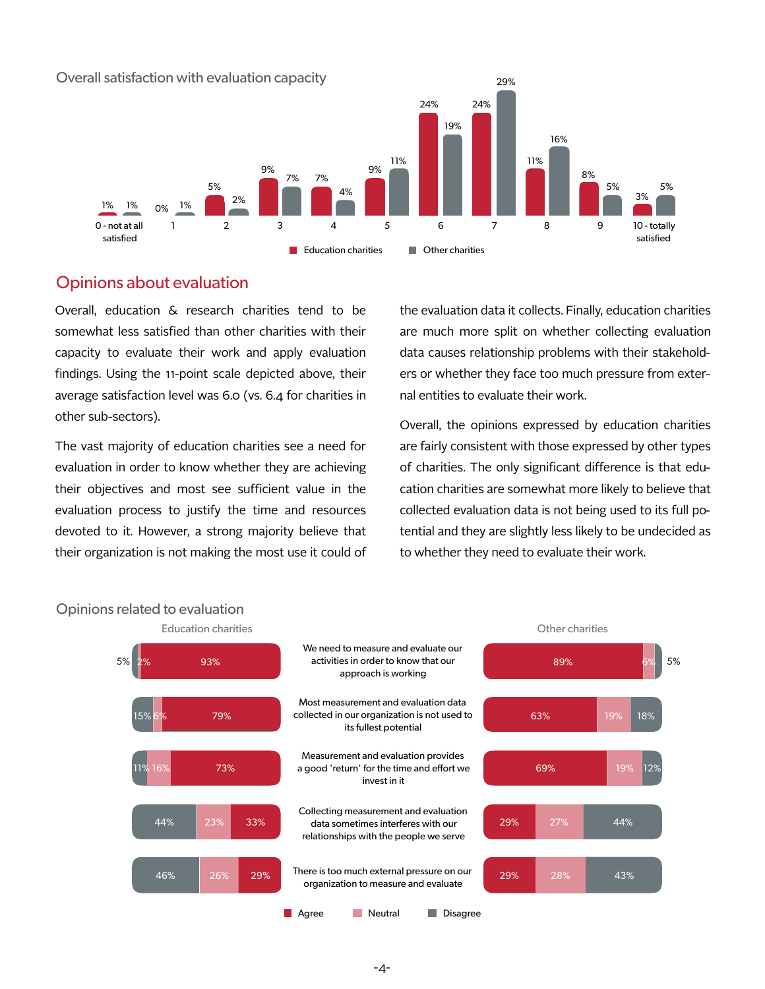

## Opinions about evaluation

Overall, education & research charities tend to be somewhat less satisfied than other charities with their capacity to evaluate their work and apply evaluation findings. Using the 11-point scale depicted above, their average satisfaction level was 6.0 (vs. 6.4 for charities in other sub-sectors).

The vast majority of education charities see a need for evaluation in order to know whether they are achieving their objectives and most see sufficient value in the evaluation process to justify the time and resources devoted to it. However, a strong majority believe that their organization is not making the most use it could of

the evaluation data it collects. Finally, education charities are much more split on whether collecting evaluation data causes relationship problems with their stakeholders or whether they face too much pressure from external entities to evaluate their work.

Overall, the opinions expressed by education charities are fairly consistent with those expressed by other types of charities. The only significant difference is that education charities are somewhat more likely to believe that collected evaluation data is not being used to its full potential and they are slightly less likely to be undecided as to whether they need to evaluate their work.



#### Opinions related to evaluation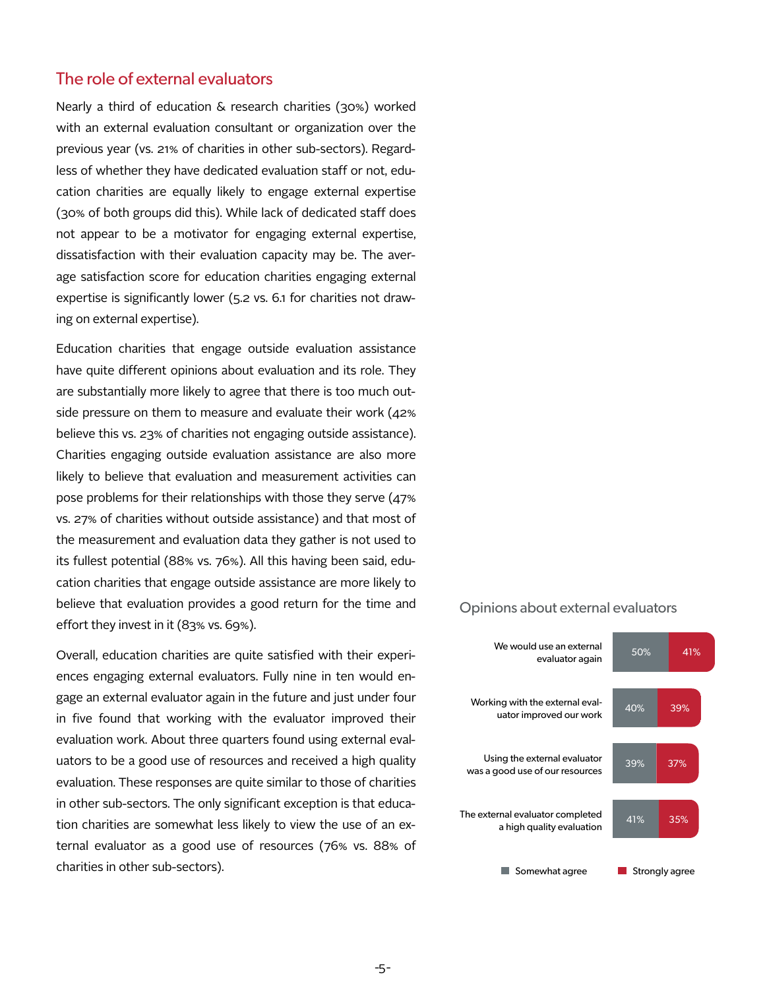#### The role of external evaluators

Nearly a third of education & research charities (30%) worked with an external evaluation consultant or organization over the previous year (vs. 21% of charities in other sub-sectors). Regardless of whether they have dedicated evaluation staff or not, education charities are equally likely to engage external expertise (30% of both groups did this). While lack of dedicated staff does not appear to be a motivator for engaging external expertise, dissatisfaction with their evaluation capacity may be. The average satisfaction score for education charities engaging external expertise is significantly lower (5.2 vs. 6.1 for charities not drawing on external expertise).

Education charities that engage outside evaluation assistance have quite different opinions about evaluation and its role. They are substantially more likely to agree that there is too much outside pressure on them to measure and evaluate their work (42% believe this vs. 23% of charities not engaging outside assistance). Charities engaging outside evaluation assistance are also more likely to believe that evaluation and measurement activities can pose problems for their relationships with those they serve (47% vs. 27% of charities without outside assistance) and that most of the measurement and evaluation data they gather is not used to its fullest potential (88% vs. 76%). All this having been said, education charities that engage outside assistance are more likely to believe that evaluation provides a good return for the time and effort they invest in it (83% vs. 69%).

Overall, education charities are quite satisfied with their experiences engaging external evaluators. Fully nine in ten would engage an external evaluator again in the future and just under four in five found that working with the evaluator improved their evaluation work. About three quarters found using external evaluators to be a good use of resources and received a high quality evaluation. These responses are quite similar to those of charities in other sub-sectors. The only significant exception is that education charities are somewhat less likely to view the use of an external evaluator as a good use of resources (76% vs. 88% of charities in other sub-sectors).

#### Opinions about external evaluators

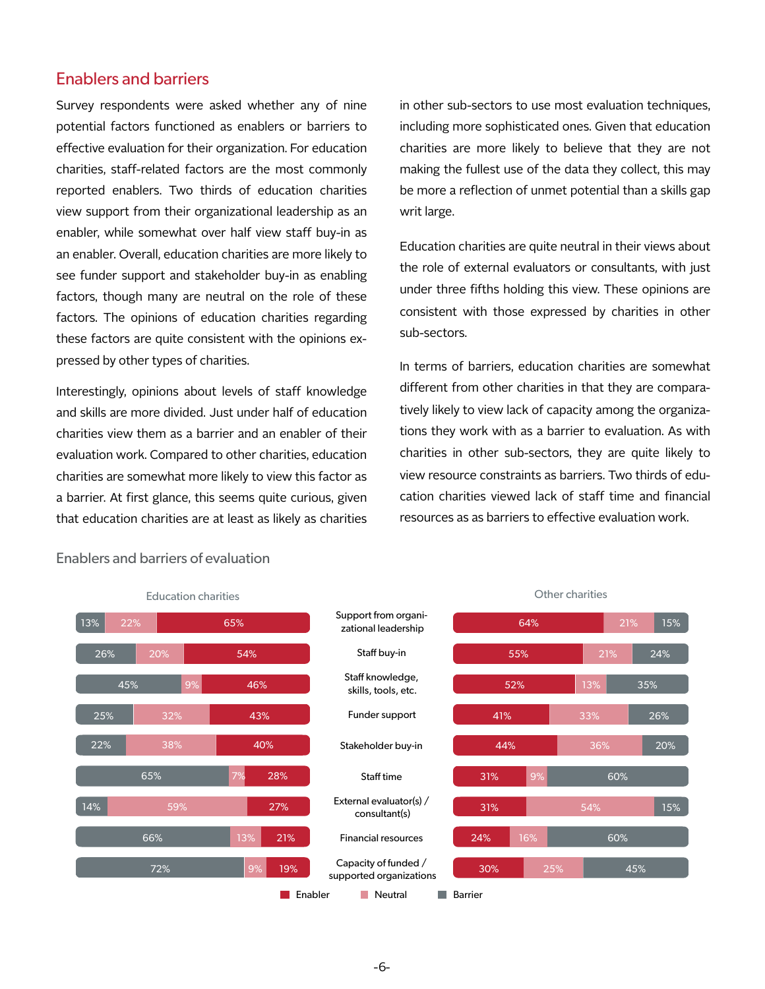#### Enablers and barriers

Survey respondents were asked whether any of nine potential factors functioned as enablers or barriers to effective evaluation for their organization. For education charities, staff-related factors are the most commonly reported enablers. Two thirds of education charities view support from their organizational leadership as an enabler, while somewhat over half view staff buy-in as an enabler. Overall, education charities are more likely to see funder support and stakeholder buy-in as enabling factors, though many are neutral on the role of these factors. The opinions of education charities regarding these factors are quite consistent with the opinions expressed by other types of charities.

Interestingly, opinions about levels of staff knowledge and skills are more divided. Just under half of education charities view them as a barrier and an enabler of their evaluation work. Compared to other charities, education charities are somewhat more likely to view this factor as a barrier. At first glance, this seems quite curious, given that education charities are at least as likely as charities in other sub-sectors to use most evaluation techniques, including more sophisticated ones. Given that education charities are more likely to believe that they are not making the fullest use of the data they collect, this may be more a reflection of unmet potential than a skills gap writ large.

Education charities are quite neutral in their views about the role of external evaluators or consultants, with just under three fifths holding this view. These opinions are consistent with those expressed by charities in other sub-sectors.

In terms of barriers, education charities are somewhat different from other charities in that they are comparatively likely to view lack of capacity among the organizations they work with as a barrier to evaluation. As with charities in other sub-sectors, they are quite likely to view resource constraints as barriers. Two thirds of education charities viewed lack of staff time and financial resources as as barriers to effective evaluation work.



#### Enablers and barriers of evaluation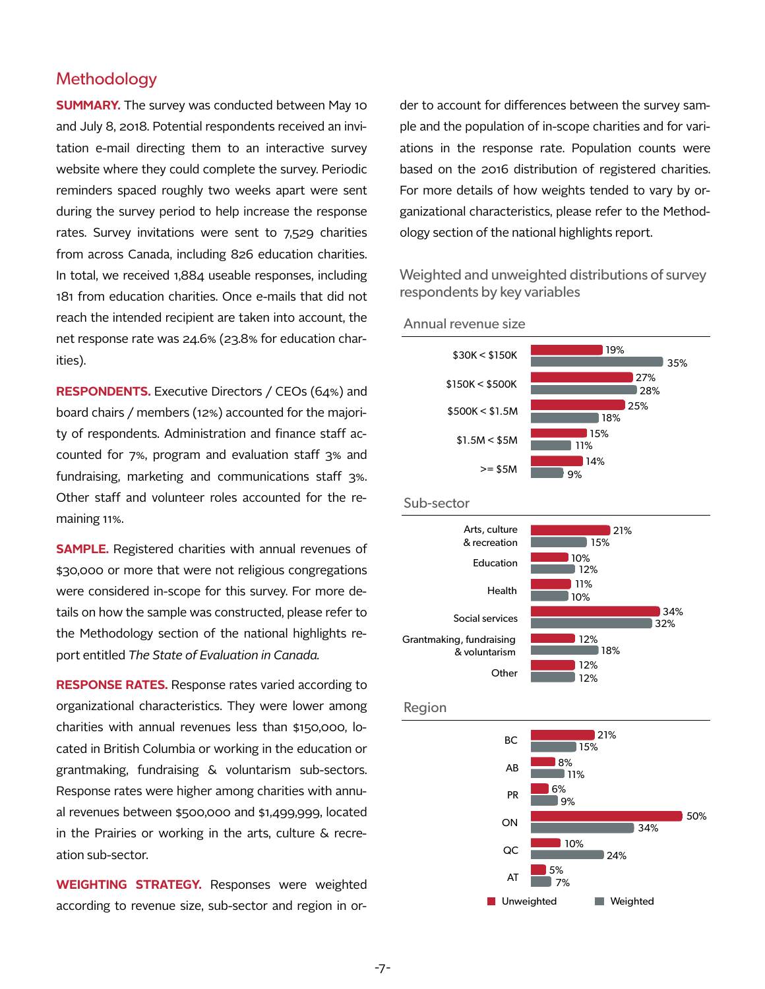#### **Methodology**

**SUMMARY.** The survey was conducted between May 10 and July 8, 2018. Potential respondents received an invitation e-mail directing them to an interactive survey website where they could complete the survey. Periodic reminders spaced roughly two weeks apart were sent during the survey period to help increase the response rates. Survey invitations were sent to 7,529 charities from across Canada, including 826 education charities. In total, we received 1,884 useable responses, including 181 from education charities. Once e-mails that did not reach the intended recipient are taken into account, the net response rate was 24.6% (23.8% for education charities).

**RESPONDENTS.** Executive Directors / CEOs (64%) and board chairs / members (12%) accounted for the majority of respondents. Administration and finance staff accounted for 7%, program and evaluation staff 3% and fundraising, marketing and communications staff 3%. Other staff and volunteer roles accounted for the remaining 11%.

**SAMPLE.** Registered charities with annual revenues of \$30,000 or more that were not religious congregations were considered in-scope for this survey. For more details on how the sample was constructed, please refer to the Methodology section of the national highlights report entitled *The State of Evaluation in Canada.* 

**RESPONSE RATES.** Response rates varied according to organizational characteristics. They were lower among charities with annual revenues less than \$150,000, located in British Columbia or working in the education or grantmaking, fundraising & voluntarism sub-sectors. Response rates were higher among charities with annual revenues between \$500,000 and \$1,499,999, located in the Prairies or working in the arts, culture & recreation sub-sector.

**WEIGHTING STRATEGY.** Responses were weighted according to revenue size, sub-sector and region in or-

der to account for differences between the survey sample and the population of in-scope charities and for variations in the response rate. Population counts were based on the 2016 distribution of registered charities. For more details of how weights tended to vary by organizational characteristics, please refer to the Methodology section of the national highlights report.

Weighted and unweighted distributions of survey respondents by key variables



Annual revenue size